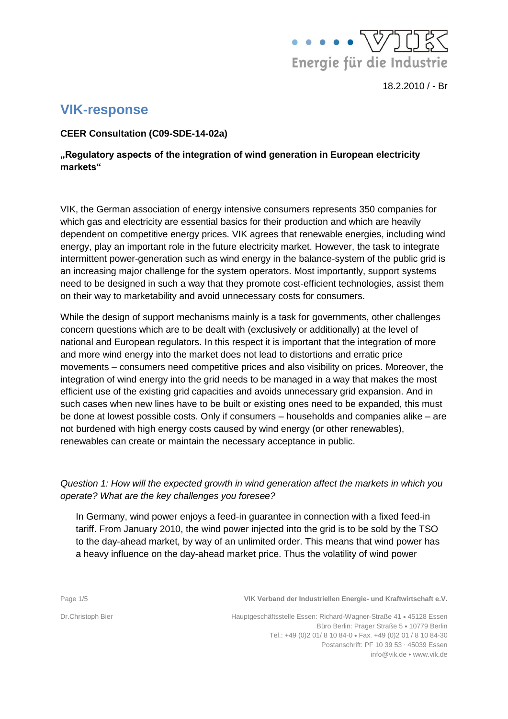

# **VIK-response**

**CEER Consultation (C09-SDE-14-02a)**

## **"Regulatory aspects of the integration of wind generation in European electricity markets"**

VIK, the German association of energy intensive consumers represents 350 companies for which gas and electricity are essential basics for their production and which are heavily dependent on competitive energy prices. VIK agrees that renewable energies, including wind energy, play an important role in the future electricity market. However, the task to integrate intermittent power-generation such as wind energy in the balance-system of the public grid is an increasing major challenge for the system operators. Most importantly, support systems need to be designed in such a way that they promote cost-efficient technologies, assist them on their way to marketability and avoid unnecessary costs for consumers.

While the design of support mechanisms mainly is a task for governments, other challenges concern questions which are to be dealt with (exclusively or additionally) at the level of national and European regulators. In this respect it is important that the integration of more and more wind energy into the market does not lead to distortions and erratic price movements – consumers need competitive prices and also visibility on prices. Moreover, the integration of wind energy into the grid needs to be managed in a way that makes the most efficient use of the existing grid capacities and avoids unnecessary grid expansion. And in such cases when new lines have to be built or existing ones need to be expanded, this must be done at lowest possible costs. Only if consumers – households and companies alike – are not burdened with high energy costs caused by wind energy (or other renewables), renewables can create or maintain the necessary acceptance in public.

## *Question 1: How will the expected growth in wind generation affect the markets in which you operate? What are the key challenges you foresee?*

In Germany, wind power enjoys a feed-in guarantee in connection with a fixed feed-in tariff. From January 2010, the wind power injected into the grid is to be sold by the TSO to the day-ahead market, by way of an unlimited order. This means that wind power has a heavy influence on the day-ahead market price. Thus the volatility of wind power

Page 1/5 **VIK Verband der Industriellen Energie- und Kraftwirtschaft e.V.**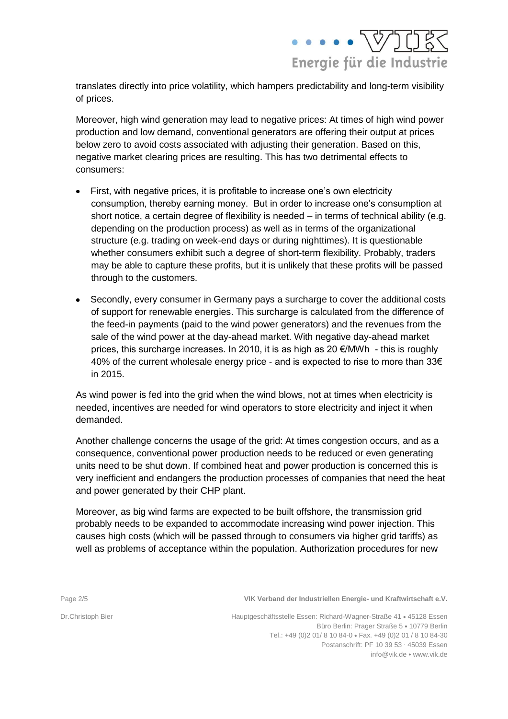

translates directly into price volatility, which hampers predictability and long-term visibility of prices.

Moreover, high wind generation may lead to negative prices: At times of high wind power production and low demand, conventional generators are offering their output at prices below zero to avoid costs associated with adjusting their generation. Based on this, negative market clearing prices are resulting. This has two detrimental effects to consumers:

- First, with negative prices, it is profitable to increase one's own electricity consumption, thereby earning money. But in order to increase one's consumption at short notice, a certain degree of flexibility is needed – in terms of technical ability (e.g. depending on the production process) as well as in terms of the organizational structure (e.g. trading on week-end days or during nighttimes). It is questionable whether consumers exhibit such a degree of short-term flexibility. Probably, traders may be able to capture these profits, but it is unlikely that these profits will be passed through to the customers.
- Secondly, every consumer in Germany pays a surcharge to cover the additional costs of support for renewable energies. This surcharge is calculated from the difference of the feed-in payments (paid to the wind power generators) and the revenues from the sale of the wind power at the day-ahead market. With negative day-ahead market prices, this surcharge increases. In 2010, it is as high as 20 €/MWh - this is roughly 40% of the current wholesale energy price - and is expected to rise to more than 33€ in 2015.

As wind power is fed into the grid when the wind blows, not at times when electricity is needed, incentives are needed for wind operators to store electricity and inject it when demanded.

Another challenge concerns the usage of the grid: At times congestion occurs, and as a consequence, conventional power production needs to be reduced or even generating units need to be shut down. If combined heat and power production is concerned this is very inefficient and endangers the production processes of companies that need the heat and power generated by their CHP plant.

Moreover, as big wind farms are expected to be built offshore, the transmission grid probably needs to be expanded to accommodate increasing wind power injection. This causes high costs (which will be passed through to consumers via higher grid tariffs) as well as problems of acceptance within the population. Authorization procedures for new

Page 2/5 **VIK Verband der Industriellen Energie- und Kraftwirtschaft e.V.**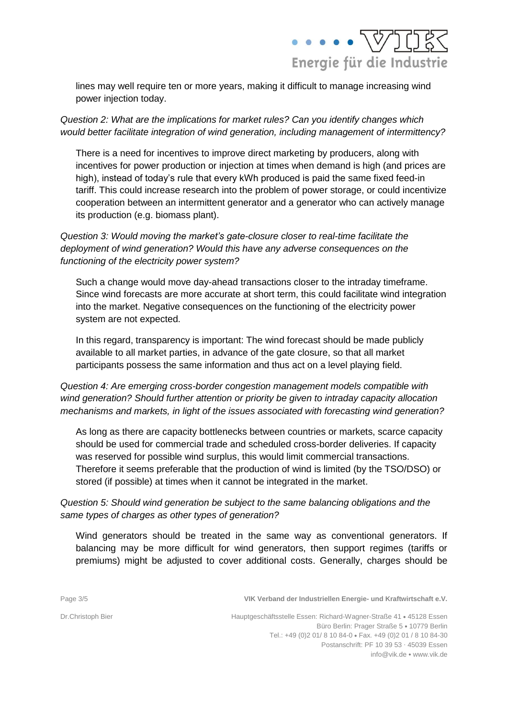

lines may well require ten or more years, making it difficult to manage increasing wind power injection today.

*Question 2: What are the implications for market rules? Can you identify changes which would better facilitate integration of wind generation, including management of intermittency?*

There is a need for incentives to improve direct marketing by producers, along with incentives for power production or injection at times when demand is high (and prices are high), instead of today's rule that every kWh produced is paid the same fixed feed-in tariff. This could increase research into the problem of power storage, or could incentivize cooperation between an intermittent generator and a generator who can actively manage its production (e.g. biomass plant).

## *Question 3: Would moving the market's gate-closure closer to real-time facilitate the deployment of wind generation? Would this have any adverse consequences on the functioning of the electricity power system?*

Such a change would move day-ahead transactions closer to the intraday timeframe. Since wind forecasts are more accurate at short term, this could facilitate wind integration into the market. Negative consequences on the functioning of the electricity power system are not expected.

In this regard, transparency is important: The wind forecast should be made publicly available to all market parties, in advance of the gate closure, so that all market participants possess the same information and thus act on a level playing field.

*Question 4: Are emerging cross-border congestion management models compatible with wind generation? Should further attention or priority be given to intraday capacity allocation mechanisms and markets, in light of the issues associated with forecasting wind generation?* 

As long as there are capacity bottlenecks between countries or markets, scarce capacity should be used for commercial trade and scheduled cross-border deliveries. If capacity was reserved for possible wind surplus, this would limit commercial transactions. Therefore it seems preferable that the production of wind is limited (by the TSO/DSO) or stored (if possible) at times when it cannot be integrated in the market.

## *Question 5: Should wind generation be subject to the same balancing obligations and the same types of charges as other types of generation?*

Wind generators should be treated in the same way as conventional generators. If balancing may be more difficult for wind generators, then support regimes (tariffs or premiums) might be adjusted to cover additional costs. Generally, charges should be

Page 3/5 **VIK Verband der Industriellen Energie- und Kraftwirtschaft e.V.**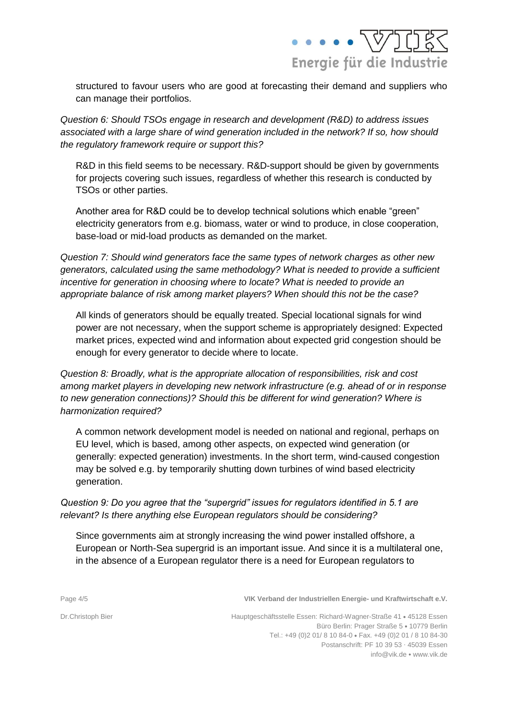

structured to favour users who are good at forecasting their demand and suppliers who can manage their portfolios.

*Question 6: Should TSOs engage in research and development (R&D) to address issues associated with a large share of wind generation included in the network? If so, how should the regulatory framework require or support this?*

R&D in this field seems to be necessary. R&D-support should be given by governments for projects covering such issues, regardless of whether this research is conducted by TSOs or other parties.

Another area for R&D could be to develop technical solutions which enable "green" electricity generators from e.g. biomass, water or wind to produce, in close cooperation, base-load or mid-load products as demanded on the market.

*Question 7: Should wind generators face the same types of network charges as other new generators, calculated using the same methodology? What is needed to provide a sufficient incentive for generation in choosing where to locate? What is needed to provide an appropriate balance of risk among market players? When should this not be the case?*

All kinds of generators should be equally treated. Special locational signals for wind power are not necessary, when the support scheme is appropriately designed: Expected market prices, expected wind and information about expected grid congestion should be enough for every generator to decide where to locate.

*Question 8: Broadly, what is the appropriate allocation of responsibilities, risk and cost among market players in developing new network infrastructure (e.g. ahead of or in response to new generation connections)? Should this be different for wind generation? Where is harmonization required?*

A common network development model is needed on national and regional, perhaps on EU level, which is based, among other aspects, on expected wind generation (or generally: expected generation) investments. In the short term, wind-caused congestion may be solved e.g. by temporarily shutting down turbines of wind based electricity generation.

*Question 9: Do you agree that the "supergrid" issues for regulators identified in 5.1 are relevant? Is there anything else European regulators should be considering?*

Since governments aim at strongly increasing the wind power installed offshore, a European or North-Sea supergrid is an important issue. And since it is a multilateral one, in the absence of a European regulator there is a need for European regulators to

Page 4/5 **VIK Verband der Industriellen Energie- und Kraftwirtschaft e.V.**